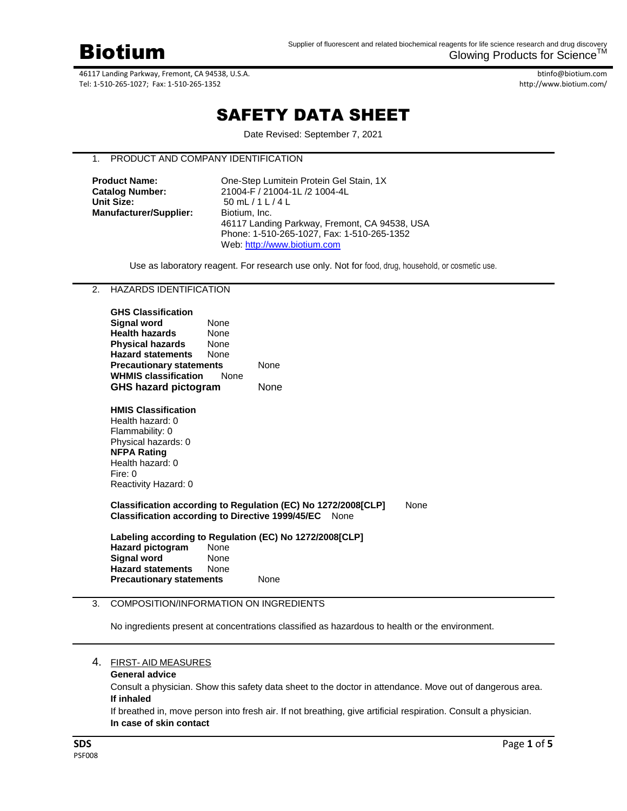

btinfo@biotium.com http://www.biotium.com/

# SAFETY DATA SHEET

Date Revised: September 7, 2021

# 1. PRODUCT AND COMPANY IDENTIFICATION

| <b>Product Name:</b>          | One-Step Lumitein Protein Gel Stain, 1X       |
|-------------------------------|-----------------------------------------------|
| <b>Catalog Number:</b>        | 21004-F / 21004-1L /2 1004-4L                 |
| <b>Unit Size:</b>             | 50 mL / 1 L / 4 L                             |
| <b>Manufacturer/Supplier:</b> | Biotium, Inc.                                 |
|                               | 46117 Landing Parkway, Fremont, CA 94538, USA |
|                               | Phone: 1-510-265-1027. Fax: 1-510-265-1352    |
|                               | Web: http://www.biotium.com                   |

Use as laboratory reagent. For research use only. Not for food, drug, household, or cosmetic use.

#### 2. HAZARDS IDENTIFICATION

| <b>GHS Classification</b><br>Signal word<br><b>Health hazards</b><br>Physical hazards<br><b>Hazard statements</b><br><b>Precautionary statements</b><br><b>WHMIS classification</b><br>GHS hazard pictogram | <b>None</b><br><b>None</b><br>None<br><b>None</b><br><b>None</b> | None<br>None |  |
|-------------------------------------------------------------------------------------------------------------------------------------------------------------------------------------------------------------|------------------------------------------------------------------|--------------|--|
| <b>HMIS Classification</b><br>Health hazard: 0<br>Flammability: 0<br>Physical hazards: 0<br><b>NFPA Rating</b><br>Health hazard: 0<br>Fire: 0<br>Reactivity Hazard: 0                                       |                                                                  |              |  |
| Classification according to Regulation (EC) No 1272/2008[CLP]<br><b>None</b><br>Classification according to Directive 1999/45/EC None                                                                       |                                                                  |              |  |
| Labeling according to Regulation (EC) No 1272/2008[CLP]<br><b>Hazard pictogram</b><br><b>Signal word</b><br><b>Hazard statements</b><br><b>Precautionary statements</b>                                     | None<br>None<br><b>None</b>                                      | None         |  |

#### 3. COMPOSITION/INFORMATION ON INGREDIENTS

No ingredients present at concentrations classified as hazardous to health or the environment.

#### 4. FIRST- AID MEASURES

#### **General advice**

Consult a physician. Show this safety data sheet to the doctor in attendance. Move out of dangerous area. **If inhaled**

If breathed in, move person into fresh air. If not breathing, give artificial respiration. Consult a physician. **In case of skin contact**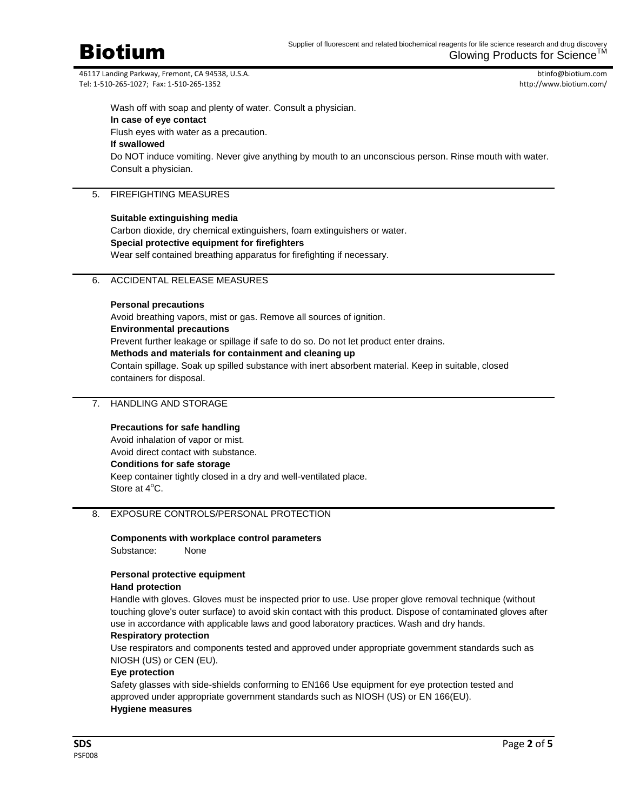

btinfo@biotium.com http://www.biotium.com/

Wash off with soap and plenty of water. Consult a physician. **In case of eye contact** Flush eyes with water as a precaution. **If swallowed** Do NOT induce vomiting. Never give anything by mouth to an unconscious person. Rinse mouth with water. Consult a physician.

#### 5. FIREFIGHTING MEASURES

#### **Suitable extinguishing media**

Carbon dioxide, dry chemical extinguishers, foam extinguishers or water. **Special protective equipment for firefighters** Wear self contained breathing apparatus for firefighting if necessary.

#### 6. ACCIDENTAL RELEASE MEASURES

#### **Personal precautions**

Avoid breathing vapors, mist or gas. Remove all sources of ignition. **Environmental precautions** Prevent further leakage or spillage if safe to do so. Do not let product enter drains. **Methods and materials for containment and cleaning up** Contain spillage. Soak up spilled substance with inert absorbent material. Keep in suitable, closed containers for disposal.

### 7. HANDLING AND STORAGE

# **Precautions for safe handling** Avoid inhalation of vapor or mist. Avoid direct contact with substance. **Conditions for safe storage** Keep container tightly closed in a dry and well-ventilated place. Store at  $4^{\circ}$ C.

#### 8. EXPOSURE CONTROLS/PERSONAL PROTECTION

#### **Components with workplace control parameters** Substance: None

# **Personal protective equipment**

#### **Hand protection**

Handle with gloves. Gloves must be inspected prior to use. Use proper glove removal technique (without touching glove's outer surface) to avoid skin contact with this product. Dispose of contaminated gloves after use in accordance with applicable laws and good laboratory practices. Wash and dry hands.

#### **Respiratory protection**

Use respirators and components tested and approved under appropriate government standards such as NIOSH (US) or CEN (EU).

#### **Eye protection**

Safety glasses with side-shields conforming to EN166 Use equipment for eye protection tested and approved under appropriate government standards such as NIOSH (US) or EN 166(EU). **Hygiene measures**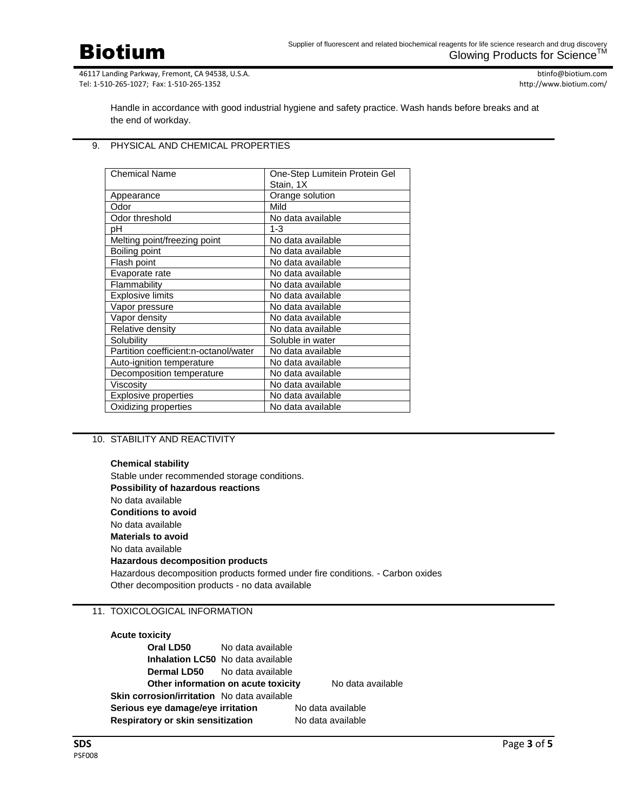Biotium

46117 Landing Parkway, Fremont, CA 94538, U.S.A. Tel: 1-510-265-1027; Fax: 1-510-265-1352

btinfo@biotium.com http://www.biotium.com/

Handle in accordance with good industrial hygiene and safety practice. Wash hands before breaks and at the end of workday.

#### 9. PHYSICAL AND CHEMICAL PROPERTIES

| <b>Chemical Name</b>                  | One-Step Lumitein Protein Gel |
|---------------------------------------|-------------------------------|
|                                       | Stain, 1X                     |
| Appearance                            | Orange solution               |
| Odor                                  | Mild                          |
| Odor threshold                        | No data available             |
| pН                                    | $1 - 3$                       |
| Melting point/freezing point          | No data available             |
| Boiling point                         | No data available             |
| Flash point                           | No data available             |
| Evaporate rate                        | No data available             |
| Flammability                          | No data available             |
| <b>Explosive limits</b>               | No data available             |
| Vapor pressure                        | No data available             |
| Vapor density                         | No data available             |
| Relative density                      | No data available             |
| Solubility                            | Soluble in water              |
| Partition coefficient:n-octanol/water | No data available             |
| Auto-ignition temperature             | No data available             |
| Decomposition temperature             | No data available             |
| Viscositv                             | No data available             |
| <b>Explosive properties</b>           | No data available             |
| Oxidizing properties                  | No data available             |

#### 10. STABILITY AND REACTIVITY

**Chemical stability** Stable under recommended storage conditions. **Possibility of hazardous reactions** No data available **Conditions to avoid** No data available **Materials to avoid** No data available **Hazardous decomposition products** Hazardous decomposition products formed under fire conditions. - Carbon oxides Other decomposition products - no data available

#### 11. TOXICOLOGICAL INFORMATION

#### **Acute toxicity**

| Oral LD50                                          | No data available                        |                   |                   |
|----------------------------------------------------|------------------------------------------|-------------------|-------------------|
|                                                    | <b>Inhalation LC50</b> No data available |                   |                   |
|                                                    | <b>Dermal LD50</b> No data available     |                   |                   |
|                                                    | Other information on acute toxicity      |                   | No data available |
| <b>Skin corrosion/irritation</b> No data available |                                          |                   |                   |
| Serious eye damage/eye irritation                  |                                          | No data available |                   |
| Respiratory or skin sensitization                  |                                          |                   | No data available |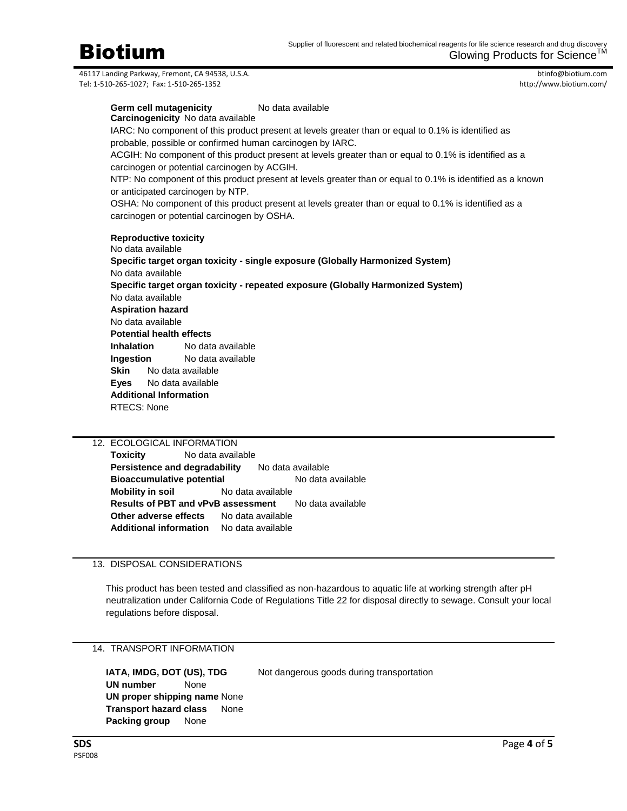btinfo@biotium.com http://www.biotium.com/

**Germ cell mutagenicity** No data available **Carcinogenicity** No data available IARC: No component of this product present at levels greater than or equal to 0.1% is identified as probable, possible or confirmed human carcinogen by IARC. ACGIH: No component of this product present at levels greater than or equal to 0.1% is identified as a carcinogen or potential carcinogen by ACGIH. NTP: No component of this product present at levels greater than or equal to 0.1% is identified as a known or anticipated carcinogen by NTP. OSHA: No component of this product present at levels greater than or equal to 0.1% is identified as a carcinogen or potential carcinogen by OSHA. **Reproductive toxicity** No data available **Specific target organ toxicity - single exposure (Globally Harmonized System)** No data available **Specific target organ toxicity - repeated exposure (Globally Harmonized System)** No data available **Aspiration hazard** No data available **Potential health effects Inhalation** No data available **Ingestion** No data available **Skin** No data available **Eyes** No data available

12. ECOLOGICAL INFORMATION **Toxicity** No data available **Persistence and degradability** No data available **Bioaccumulative potential** No data available **Mobility in soil** No data available **Results of PBT and vPvB assessment** No data available **Other adverse effects** No data available **Additional information** No data available

# 13. DISPOSAL CONSIDERATIONS

**Additional Information**

RTECS: None

This product has been tested and classified as non-hazardous to aquatic life at working strength after pH neutralization under California Code of Regulations Title 22 for disposal directly to sewage. Consult your local regulations before disposal.

# 14. TRANSPORT INFORMATION

**IATA, IMDG, DOT (US), TDG** Not dangerous goods during transportation **UN number** None **UN proper shipping name** None **Transport hazard class** None **Packing group** None